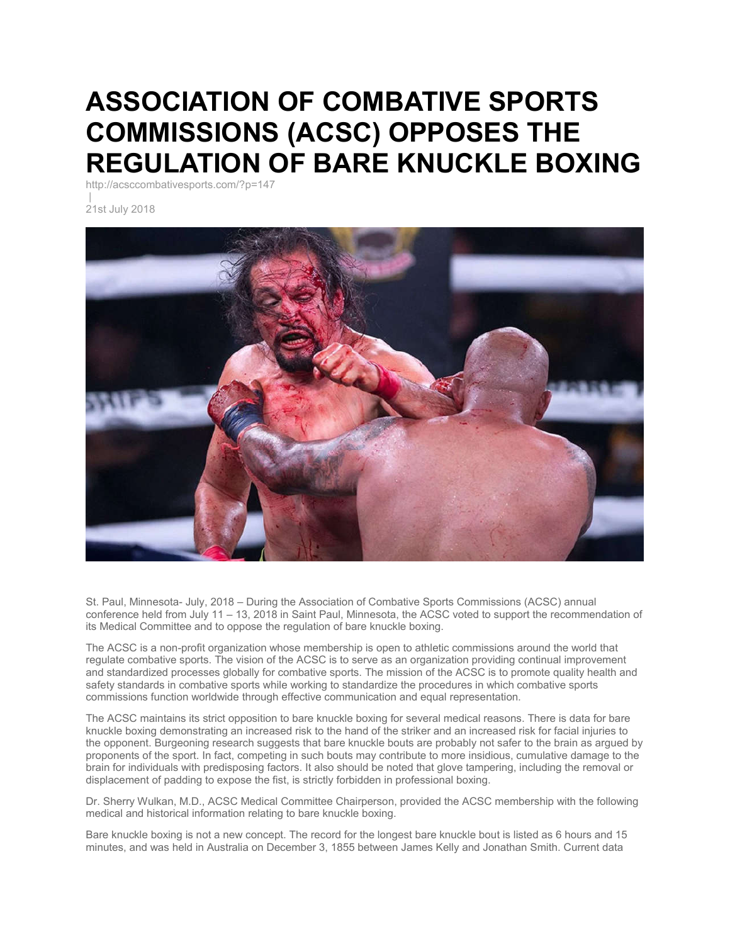## **ASSOCIATION OF COMBATIVE SPORTS COMMISSIONS (ACSC) OPPOSES THE REGULATION OF BARE KNUCKLE BOXING**

http://acsccombativesports.com/?p=147

21st July 2018



St. Paul, Minnesota- July, 2018 – During the Association of Combative Sports Commissions (ACSC) annual conference held from July 11 – 13, 2018 in Saint Paul, Minnesota, the ACSC voted to support the recommendation of its Medical Committee and to oppose the regulation of bare knuckle boxing.

The ACSC is a non-profit organization whose membership is open to athletic commissions around the world that regulate combative sports. The vision of the ACSC is to serve as an organization providing continual improvement and standardized processes globally for combative sports. The mission of the ACSC is to promote quality health and safety standards in combative sports while working to standardize the procedures in which combative sports commissions function worldwide through effective communication and equal representation.

The ACSC maintains its strict opposition to bare knuckle boxing for several medical reasons. There is data for bare knuckle boxing demonstrating an increased risk to the hand of the striker and an increased risk for facial injuries to the opponent. Burgeoning research suggests that bare knuckle bouts are probably not safer to the brain as argued by proponents of the sport. In fact, competing in such bouts may contribute to more insidious, cumulative damage to the brain for individuals with predisposing factors. It also should be noted that glove tampering, including the removal or displacement of padding to expose the fist, is strictly forbidden in professional boxing.

Dr. Sherry Wulkan, M.D., ACSC Medical Committee Chairperson, provided the ACSC membership with the following medical and historical information relating to bare knuckle boxing.

Bare knuckle boxing is not a new concept. The record for the longest bare knuckle bout is listed as 6 hours and 15 minutes, and was held in Australia on December 3, 1855 between James Kelly and Jonathan Smith. Current data